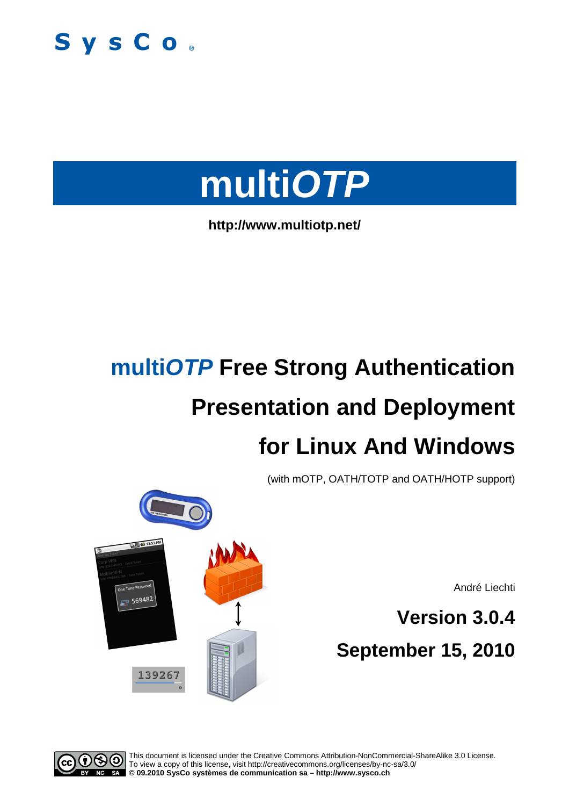



**http://www.multiotp.net/** 

# **multiOTP Free Strong Authentication Presentation and Deployment for Linux And Windows**

(with mOTP, OATH/TOTP and OATH/HOTP support)

André Liechti

**Version 3.0.4 September 15, 2010** 



**EN EN 12:53 PM** 

569482

This document is licensed under the Creative Commons Attribution-NonCommercial-ShareAlike 3.0 License. To view a copy of this license, visit http://creativecommons.org/licenses/by-nc-sa/3.0/ **© 09.2010 SysCo systèmes de communication sa – http://www.sysco.ch**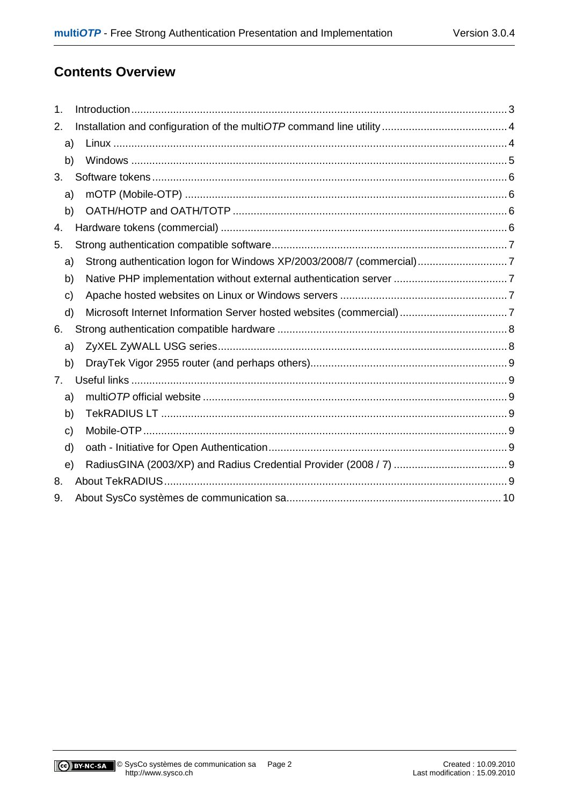# **Contents Overview**

| $\mathbf 1$ . |                                                                      |  |
|---------------|----------------------------------------------------------------------|--|
| 2.            |                                                                      |  |
| a)            |                                                                      |  |
| b)            |                                                                      |  |
| 3.            |                                                                      |  |
| a)            |                                                                      |  |
| b)            |                                                                      |  |
| 4.            |                                                                      |  |
| 5.            |                                                                      |  |
| a)            | Strong authentication logon for Windows XP/2003/2008/7 (commercial)7 |  |
| b)            |                                                                      |  |
| c)            |                                                                      |  |
| d)            |                                                                      |  |
| 6.            |                                                                      |  |
| a)            |                                                                      |  |
| b)            |                                                                      |  |
| 7.            |                                                                      |  |
| a)            |                                                                      |  |
| b)            |                                                                      |  |
| C)            |                                                                      |  |
| d)            |                                                                      |  |
| e)            |                                                                      |  |
| 8.            |                                                                      |  |
| 9.            |                                                                      |  |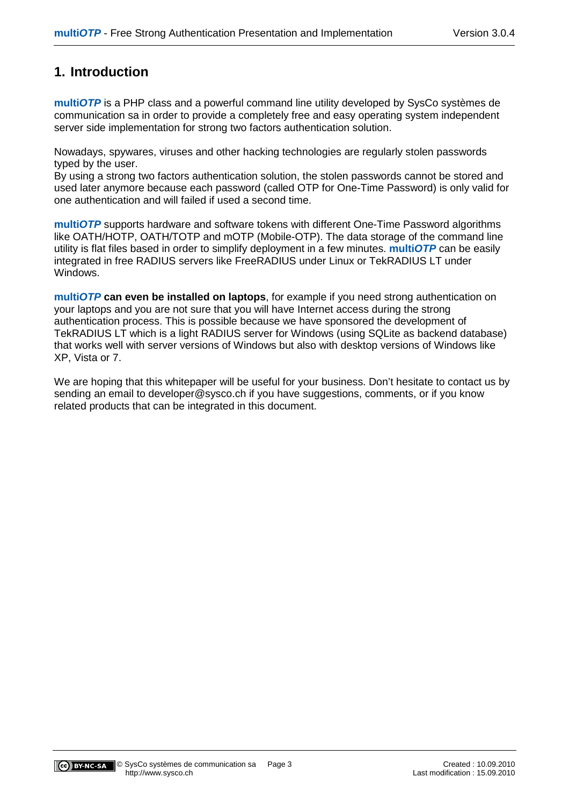# **1. Introduction**

**multiOTP** is a PHP class and a powerful command line utility developed by SysCo systèmes de communication sa in order to provide a completely free and easy operating system independent server side implementation for strong two factors authentication solution.

Nowadays, spywares, viruses and other hacking technologies are regularly stolen passwords typed by the user.

By using a strong two factors authentication solution, the stolen passwords cannot be stored and used later anymore because each password (called OTP for One-Time Password) is only valid for one authentication and will failed if used a second time.

**multiOTP** supports hardware and software tokens with different One-Time Password algorithms like OATH/HOTP, OATH/TOTP and mOTP (Mobile-OTP). The data storage of the command line utility is flat files based in order to simplify deployment in a few minutes. **multiOTP** can be easily integrated in free RADIUS servers like FreeRADIUS under Linux or TekRADIUS LT under Windows.

**multiOTP can even be installed on laptops**, for example if you need strong authentication on your laptops and you are not sure that you will have Internet access during the strong authentication process. This is possible because we have sponsored the development of TekRADIUS LT which is a light RADIUS server for Windows (using SQLite as backend database) that works well with server versions of Windows but also with desktop versions of Windows like XP, Vista or 7.

We are hoping that this whitepaper will be useful for your business. Don't hesitate to contact us by sending an email to developer@sysco.ch if you have suggestions, comments, or if you know related products that can be integrated in this document.

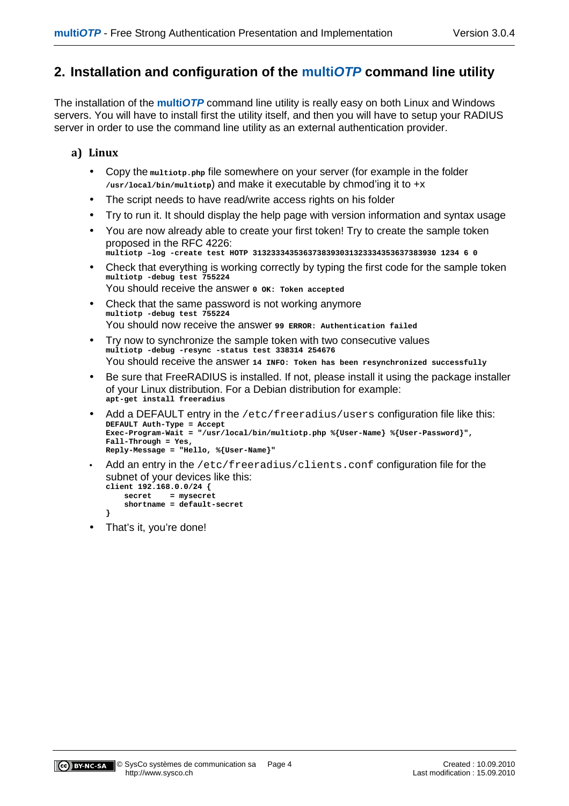# **2. Installation and configuration of the multiOTP command line utility**

The installation of the **multiOTP** command line utility is really easy on both Linux and Windows servers. You will have to install first the utility itself, and then you will have to setup your RADIUS server in order to use the command line utility as an external authentication provider.

## **a) Linux**

- Copy the **multiotp.php** file somewhere on your server (for example in the folder **/usr/local/bin/multiotp**) and make it executable by chmod'ing it to +x
- The script needs to have read/write access rights on his folder
- Try to run it. It should display the help page with version information and syntax usage
- You are now already able to create your first token! Try to create the sample token proposed in the RFC 4226: **multiotp –log -create test HOTP 3132333435363738393031323334353637383930 1234 6 0**
- Check that everything is working correctly by typing the first code for the sample token **multiotp -debug test 755224** You should receive the answer  $0$  ok: Token accepted
- Check that the same password is not working anymore **multiotp -debug test 755224** You should now receive the answer **99 ERROR: Authentication failed**
- Try now to synchronize the sample token with two consecutive values **multiotp -debug -resync -status test 338314 254676**  You should receive the answer **14 INFO: Token has been resynchronized successfully**
- Be sure that FreeRADIUS is installed. If not, please install it using the package installer of your Linux distribution. For a Debian distribution for example: **apt-get install freeradius**
- Add a DEFAULT entry in the  $/etc/freeradius/users$  configuration file like this: **DEFAULT Auth-Type = Accept Exec-Program-Wait = "/usr/local/bin/multiotp.php %{User-Name} %{User-Password}", Fall-Through = Yes, Reply-Message = "Hello, %{User-Name}"**
- Add an entry in the /etc/freeradius/clients.conf configuration file for the subnet of your devices like this:

```
client 192.168.0.0/24 { 
     secret = mysecret 
     shortname = default-secret 
}
```
• That's it, you're done!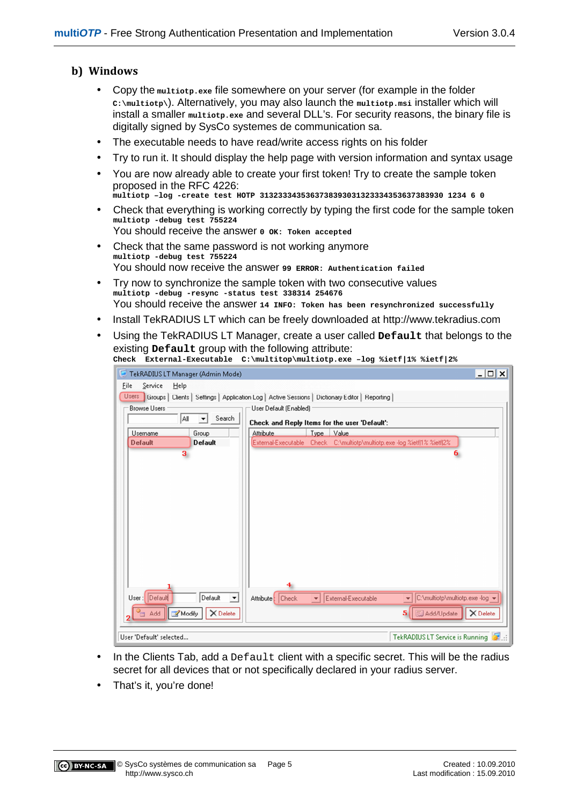# **b) Windows**

- Copy the **multiotp.exe** file somewhere on your server (for example in the folder **C:\multiotp\**). Alternatively, you may also launch the **multiotp.msi** installer which will install a smaller **multiotp.exe** and several DLL's. For security reasons, the binary file is digitally signed by SysCo systemes de communication sa.
- The executable needs to have read/write access rights on his folder
- Try to run it. It should display the help page with version information and syntax usage
- You are now already able to create your first token! Try to create the sample token proposed in the RFC 4226: **multiotp –log -create test HOTP 3132333435363738393031323334353637383930 1234 6 0**
- Check that everything is working correctly by typing the first code for the sample token **multiotp -debug test 755224** You should receive the answer  $0$  ok: Token accepted
- Check that the same password is not working anymore **multiotp -debug test 755224** You should now receive the answer **99 ERROR: Authentication failed**
- Try now to synchronize the sample token with two consecutive values **multiotp -debug -resync -status test 338314 254676**  You should receive the answer **14 INFO: Token has been resynchronized successfully**
- Install TekRADIUS LT which can be freely downloaded at http://www.tekradius.com
- Using the TekRADIUS LT Manager, create a user called **Default** that belongs to the existing **Default** group with the following attribute: **Check External-Executable C:\multitop\multiotp.exe –log %ietf|1% %ietf|2%**

| TekRADIUS LT Manager (Admin Mode)                                                                     |                                 |                        |             |                                  |                                                                           | $ \Box$ $\times$ |
|-------------------------------------------------------------------------------------------------------|---------------------------------|------------------------|-------------|----------------------------------|---------------------------------------------------------------------------|------------------|
| Eile<br>Service<br>Help                                                                               |                                 |                        |             |                                  |                                                                           |                  |
| Users Groups   Clients   Settings   Application Log   Active Sessions   Dictionary Editor   Reporting |                                 |                        |             |                                  |                                                                           |                  |
| <b>Browse Users</b>                                                                                   |                                 | User Default (Enabled) |             |                                  |                                                                           |                  |
| Search<br>∣A∥<br>▾╎<br>Check and Reply Items for the user 'Default':                                  |                                 |                        |             |                                  |                                                                           |                  |
| Username                                                                                              | Group                           | Attribute              | <b>Type</b> | Value                            |                                                                           |                  |
| <b>Default</b>                                                                                        | <b>Default</b>                  |                        |             |                                  | External-Executable Check C:\multiotp\multiotp.exe -log %ietf 1% %ietf 2% |                  |
| з                                                                                                     |                                 |                        |             |                                  |                                                                           |                  |
|                                                                                                       |                                 |                        |             |                                  |                                                                           |                  |
|                                                                                                       |                                 |                        |             |                                  |                                                                           |                  |
|                                                                                                       |                                 |                        |             |                                  |                                                                           |                  |
|                                                                                                       |                                 |                        |             |                                  |                                                                           |                  |
|                                                                                                       |                                 |                        |             |                                  |                                                                           |                  |
|                                                                                                       |                                 |                        |             |                                  |                                                                           |                  |
|                                                                                                       |                                 |                        |             |                                  |                                                                           |                  |
|                                                                                                       |                                 |                        |             |                                  |                                                                           |                  |
|                                                                                                       |                                 |                        |             |                                  |                                                                           |                  |
|                                                                                                       |                                 |                        |             |                                  |                                                                           |                  |
|                                                                                                       |                                 |                        |             |                                  |                                                                           |                  |
|                                                                                                       |                                 |                        |             |                                  |                                                                           |                  |
| User: Default                                                                                         | Default<br>$\blacktriangledown$ | Attribute: Check       |             | $\leftarrow$ External-Executable | C:\multiotp\multiotp.exe -log -<br>$\blacktriangledown$                   |                  |
| Modify<br>add a                                                                                       | X Delete                        |                        |             |                                  | Add/Update<br>5 <sup>1</sup>                                              | X Delete         |
|                                                                                                       |                                 |                        |             |                                  |                                                                           |                  |
| TekRADIUS LT Service is Running<br>User 'Default' selected                                            |                                 |                        |             |                                  |                                                                           |                  |

- In the Clients Tab, add a Default client with a specific secret. This will be the radius secret for all devices that or not specifically declared in your radius server.
- That's it, you're done!

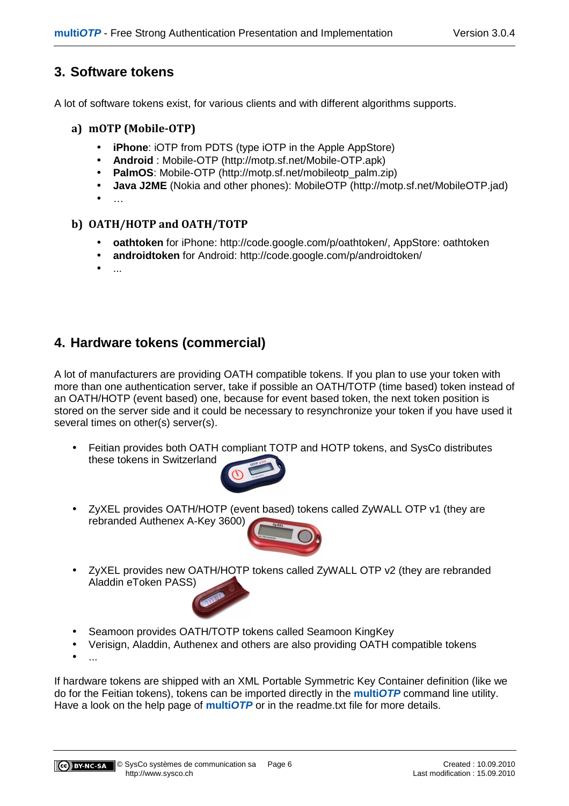# **3. Software tokens**

A lot of software tokens exist, for various clients and with different algorithms supports.

## **a) mOTP (Mobile-OTP)**

- **iPhone:** iOTP from PDTS (type iOTP in the Apple AppStore)
- **Android** : Mobile-OTP (http://motp.sf.net/Mobile-OTP.apk)
- **PalmOS:** Mobile-OTP (http://motp.sf.net/mobileotp\_palm.zip)
- **Java J2ME** (Nokia and other phones): MobileOTP (http://motp.sf.net/MobileOTP.jad)
- $\ddotsc$

## **b) OATH/HOTP and OATH/TOTP**

- **oathtoken** for iPhone: http://code.google.com/p/oathtoken/, AppStore: oathtoken
- **androidtoken** for Android: http://code.google.com/p/androidtoken/
- ...

# **4. Hardware tokens (commercial)**

A lot of manufacturers are providing OATH compatible tokens. If you plan to use your token with more than one authentication server, take if possible an OATH/TOTP (time based) token instead of an OATH/HOTP (event based) one, because for event based token, the next token position is stored on the server side and it could be necessary to resynchronize your token if you have used it several times on other(s) server(s).

• Feitian provides both OATH compliant TOTP and HOTP tokens, and SysCo distributes these tokens in Switzerland



• ZyXEL provides OATH/HOTP (event based) tokens called ZyWALL OTP v1 (they are rebranded Authenex A-Key 3600)



- ZyXEL provides new OATH/HOTP tokens called ZyWALL OTP v2 (they are rebranded Aladdin eToken PASS)
- Seamoon provides OATH/TOTP tokens called Seamoon KingKey
- Verisign, Aladdin, Authenex and others are also providing OATH compatible tokens
- $\bullet$  ...

If hardware tokens are shipped with an XML Portable Symmetric Key Container definition (like we do for the Feitian tokens), tokens can be imported directly in the **multiOTP** command line utility. Have a look on the help page of **multiOTP** or in the readme.txt file for more details.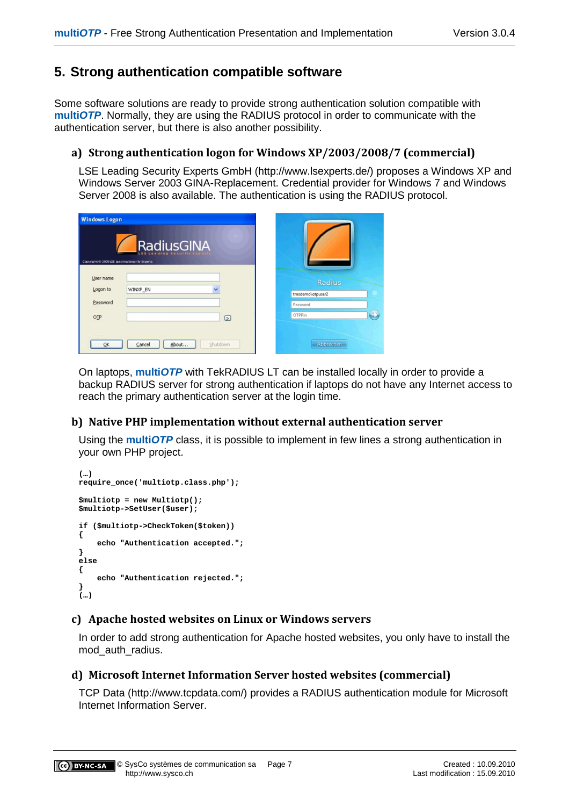# **5. Strong authentication compatible software**

Some software solutions are ready to provide strong authentication solution compatible with **multiOTP**. Normally, they are using the RADIUS protocol in order to communicate with the authentication server, but there is also another possibility.

## **a) Strong authentication logon for Windows XP/2003/2008/7 (commercial)**

LSE Leading Security Experts GmbH (http://www.lsexperts.de/) proposes a Windows XP and Windows Server 2003 GINA-Replacement. Credential provider for Windows 7 and Windows Server 2008 is also available. The authentication is using the RADIUS protocol.

|                                               | <b>Windows Logon</b>        |                                        |  |  |  |  |
|-----------------------------------------------|-----------------------------|----------------------------------------|--|--|--|--|
| Copyright @ 2009 LSE leading Security Experts | RadiusGINA                  |                                        |  |  |  |  |
| User name<br>Logon to<br>Password             | WINXP_EN                    | Radius<br>tmsdemo\otpuser2<br>Password |  |  |  |  |
| OIP                                           | ☑                           | $\rightarrow$<br><b>OTPPin</b>         |  |  |  |  |
| QK                                            | About<br>Shutdown<br>Cancel | Abbrechen                              |  |  |  |  |

On laptops, **multiOTP** with TekRADIUS LT can be installed locally in order to provide a backup RADIUS server for strong authentication if laptops do not have any Internet access to reach the primary authentication server at the login time.

## **b) Native PHP implementation without external authentication server**

Using the **multiOTP** class, it is possible to implement in few lines a strong authentication in your own PHP project.

```
(…) 
require_once('multiotp.class.php'); 
$multiotp = new Multiotp(); 
$multiotp->SetUser($user); 
if ($multiotp->CheckToken($token)) 
{ 
     echo "Authentication accepted."; 
} 
else 
{ 
     echo "Authentication rejected."; 
} 
(…)
```
## **c) Apache hosted websites on Linux or Windows servers**

In order to add strong authentication for Apache hosted websites, you only have to install the mod\_auth\_radius.

## **d) Microsoft Internet Information Server hosted websites (commercial)**

TCP Data (http://www.tcpdata.com/) provides a RADIUS authentication module for Microsoft Internet Information Server.

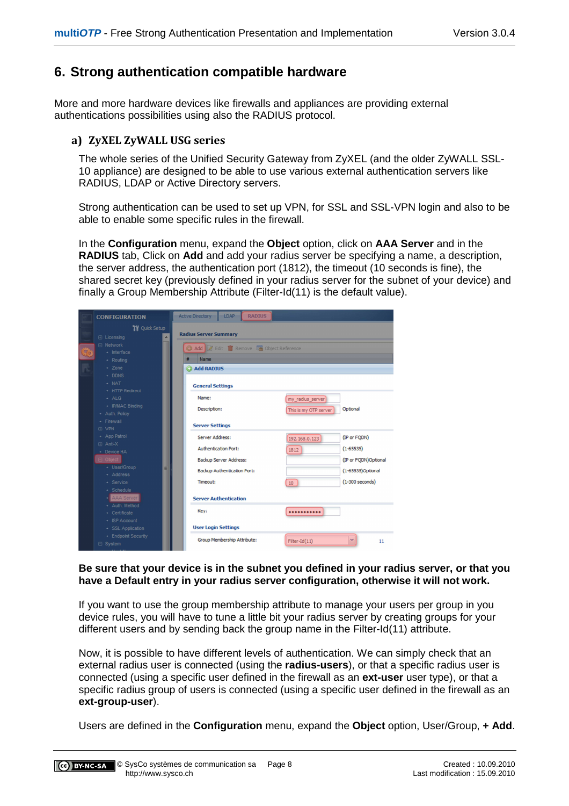# **6. Strong authentication compatible hardware**

More and more hardware devices like firewalls and appliances are providing external authentications possibilities using also the RADIUS protocol.

#### **a) ZyXEL ZyWALL USG series**

The whole series of the Unified Security Gateway from ZyXEL (and the older ZyWALL SSL-10 appliance) are designed to be able to use various external authentication servers like RADIUS, LDAP or Active Directory servers.

Strong authentication can be used to set up VPN, for SSL and SSL-VPN login and also to be able to enable some specific rules in the firewall.

In the **Configuration** menu, expand the **Object** option, click on **AAA Server** and in the **RADIUS** tab, Click on **Add** and add your radius server be specifying a name, a description, the server address, the authentication port (1812), the timeout (10 seconds is fine), the shared secret key (previously defined in your radius server for the subnet of your device) and finally a Group Membership Attribute (Filter-Id(11) is the default value).

| <b>CONFIGURATION</b>                | <b>RADIUS</b><br>LDAP<br><b>Active Directory</b>                     |  |  |  |  |  |
|-------------------------------------|----------------------------------------------------------------------|--|--|--|--|--|
| <b>TV</b> Quick Setup               |                                                                      |  |  |  |  |  |
| <b>E</b> Licensing                  | <b>Radius Server Summary</b>                                         |  |  |  |  |  |
| <b>□ Network</b>                    | Add 7 Edit T Remove T Object Reference                               |  |  |  |  |  |
| $+$ Interface                       |                                                                      |  |  |  |  |  |
| - Routing                           | Name                                                                 |  |  |  |  |  |
| + Zone                              | add RADIUS                                                           |  |  |  |  |  |
| $\div$ DDNS                         |                                                                      |  |  |  |  |  |
| $+$ NAT                             | <b>General Settings</b>                                              |  |  |  |  |  |
| + HTTP Redirect                     |                                                                      |  |  |  |  |  |
| $+ ALG$                             | Name:<br>my radius server                                            |  |  |  |  |  |
| + IP/MAC Binding                    | Optional<br>Description:<br>This is my OTP server                    |  |  |  |  |  |
| + Auth. Policy                      |                                                                      |  |  |  |  |  |
| + Firewall                          | <b>Server Settings</b>                                               |  |  |  |  |  |
| 田 VPN                               |                                                                      |  |  |  |  |  |
| + App Patrol                        | (IP or FODN)<br>Server Address:<br>192, 168, 0, 123                  |  |  |  |  |  |
| <b>⊞</b> Anti-X                     | <b>Authentication Port:</b><br>$(1 - 65535)$<br>1812                 |  |  |  |  |  |
| + Device HA                         |                                                                      |  |  |  |  |  |
| □ Object                            | (IP or FQDN)Optional<br>Backup Server Address:                       |  |  |  |  |  |
| + User/Group<br>E                   | (1-65535)Optional<br>Backup Authentication Port:                     |  |  |  |  |  |
| + Address                           | Timeout:<br>$(1-300$ seconds)                                        |  |  |  |  |  |
| + Service                           | $10-10$                                                              |  |  |  |  |  |
| + Schedule                          |                                                                      |  |  |  |  |  |
| <b>AAA</b> Server<br>+ Auth. Method | <b>Server Authentication</b>                                         |  |  |  |  |  |
| + Certificate                       | Key:<br>                                                             |  |  |  |  |  |
| + ISP Account                       |                                                                      |  |  |  |  |  |
| + SSL Application                   | <b>User Login Settings</b>                                           |  |  |  |  |  |
| + Endpoint Security                 |                                                                      |  |  |  |  |  |
| $\Box$ System                       | Group Membership Attribute:<br>$\checkmark$<br>$Filter-Id(11)$<br>11 |  |  |  |  |  |
|                                     |                                                                      |  |  |  |  |  |

#### **Be sure that your device is in the subnet you defined in your radius server, or that you have a Default entry in your radius server configuration, otherwise it will not work.**

If you want to use the group membership attribute to manage your users per group in you device rules, you will have to tune a little bit your radius server by creating groups for your different users and by sending back the group name in the Filter-Id(11) attribute.

Now, it is possible to have different levels of authentication. We can simply check that an external radius user is connected (using the **radius-users**), or that a specific radius user is connected (using a specific user defined in the firewall as an **ext-user** user type), or that a specific radius group of users is connected (using a specific user defined in the firewall as an **ext-group-user**).

Users are defined in the **Configuration** menu, expand the **Object** option, User/Group, **+ Add**.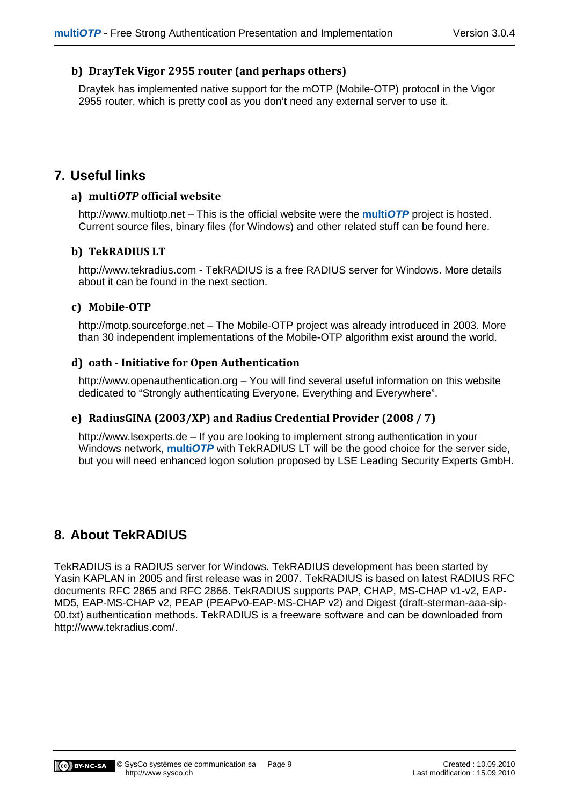## **b) DrayTek Vigor 2955 router (and perhaps others)**

Draytek has implemented native support for the mOTP (Mobile-OTP) protocol in the Vigor 2955 router, which is pretty cool as you don't need any external server to use it.

# **7. Useful links**

#### **a) multi***OTP* **official website**

http://www.multiotp.net – This is the official website were the **multiOTP** project is hosted. Current source files, binary files (for Windows) and other related stuff can be found here.

#### **b) TekRADIUS LT**

http://www.tekradius.com - TekRADIUS is a free RADIUS server for Windows. More details about it can be found in the next section.

#### **c) Mobile-OTP**

http://motp.sourceforge.net – The Mobile-OTP project was already introduced in 2003. More than 30 independent implementations of the Mobile-OTP algorithm exist around the world.

#### **d) oath - Initiative for Open Authentication**

http://www.openauthentication.org – You will find several useful information on this website dedicated to "Strongly authenticating Everyone, Everything and Everywhere".

## **e) RadiusGINA (2003/XP) and Radius Credential Provider (2008 / 7)**

http://www.lsexperts.de – If you are looking to implement strong authentication in your Windows network, **multiOTP** with TekRADIUS LT will be the good choice for the server side, but you will need enhanced logon solution proposed by LSE Leading Security Experts GmbH.

# **8. About TekRADIUS**

TekRADIUS is a RADIUS server for Windows. TekRADIUS development has been started by Yasin KAPLAN in 2005 and first release was in 2007. TekRADIUS is based on latest RADIUS RFC documents RFC 2865 and RFC 2866. TekRADIUS supports PAP, CHAP, MS-CHAP v1-v2, EAP-MD5, EAP-MS-CHAP v2, PEAP (PEAPv0-EAP-MS-CHAP v2) and Digest (draft-sterman-aaa-sip-00.txt) authentication methods. TekRADIUS is a freeware software and can be downloaded from http://www.tekradius.com/.